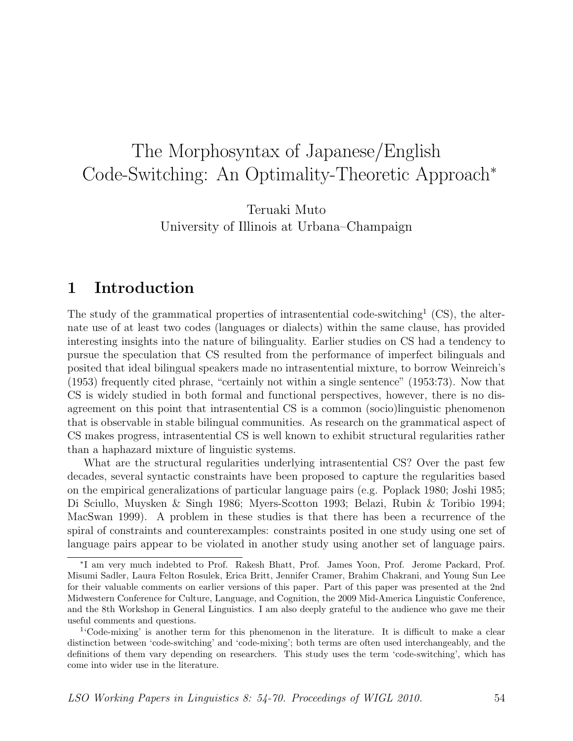# The Morphosyntax of Japanese/English Code-Switching: An Optimality-Theoretic Approach<sup>∗</sup>

Teruaki Muto University of Illinois at Urbana–Champaign

## 1 Introduction

The study of the grammatical properties of intrasentential code-switching<sup>1</sup> (CS), the alternate use of at least two codes (languages or dialects) within the same clause, has provided interesting insights into the nature of bilinguality. Earlier studies on CS had a tendency to pursue the speculation that CS resulted from the performance of imperfect bilinguals and posited that ideal bilingual speakers made no intrasentential mixture, to borrow Weinreich's (1953) frequently cited phrase, "certainly not within a single sentence" (1953:73). Now that CS is widely studied in both formal and functional perspectives, however, there is no disagreement on this point that intrasentential CS is a common (socio)linguistic phenomenon that is observable in stable bilingual communities. As research on the grammatical aspect of CS makes progress, intrasentential CS is well known to exhibit structural regularities rather than a haphazard mixture of linguistic systems.

What are the structural regularities underlying intrasentential CS? Over the past few decades, several syntactic constraints have been proposed to capture the regularities based on the empirical generalizations of particular language pairs (e.g. Poplack 1980; Joshi 1985; Di Sciullo, Muysken & Singh 1986; Myers-Scotton 1993; Belazi, Rubin & Toribio 1994; MacSwan 1999). A problem in these studies is that there has been a recurrence of the spiral of constraints and counterexamples: constraints posited in one study using one set of language pairs appear to be violated in another study using another set of language pairs.

<sup>∗</sup> I am very much indebted to Prof. Rakesh Bhatt, Prof. James Yoon, Prof. Jerome Packard, Prof. Misumi Sadler, Laura Felton Rosulek, Erica Britt, Jennifer Cramer, Brahim Chakrani, and Young Sun Lee for their valuable comments on earlier versions of this paper. Part of this paper was presented at the 2nd Midwestern Conference for Culture, Language, and Cognition, the 2009 Mid-America Linguistic Conference, and the 8th Workshop in General Linguistics. I am also deeply grateful to the audience who gave me their useful comments and questions.

<sup>1</sup> 'Code-mixing' is another term for this phenomenon in the literature. It is difficult to make a clear distinction between 'code-switching' and 'code-mixing'; both terms are often used interchangeably, and the definitions of them vary depending on researchers. This study uses the term 'code-switching', which has come into wider use in the literature.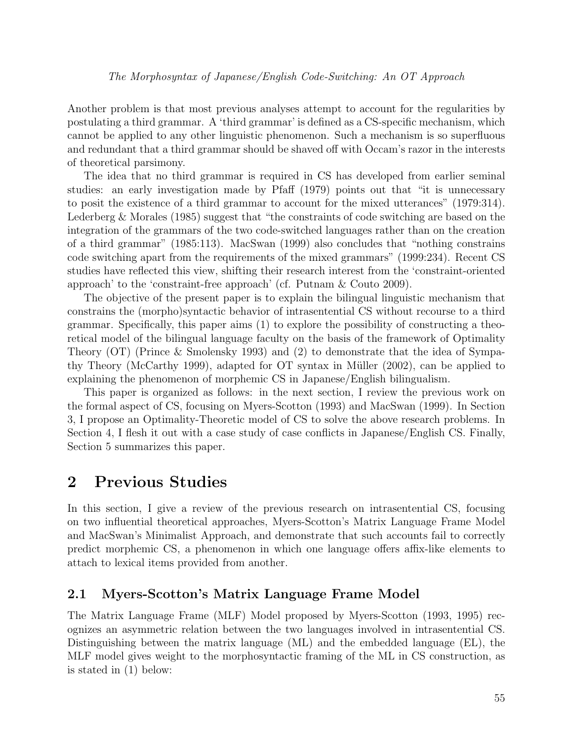Another problem is that most previous analyses attempt to account for the regularities by postulating a third grammar. A 'third grammar' is defined as a CS-specific mechanism, which cannot be applied to any other linguistic phenomenon. Such a mechanism is so superfluous and redundant that a third grammar should be shaved off with Occam's razor in the interests of theoretical parsimony.

The idea that no third grammar is required in CS has developed from earlier seminal studies: an early investigation made by Pfaff (1979) points out that "it is unnecessary to posit the existence of a third grammar to account for the mixed utterances" (1979:314). Lederberg & Morales (1985) suggest that "the constraints of code switching are based on the integration of the grammars of the two code-switched languages rather than on the creation of a third grammar" (1985:113). MacSwan (1999) also concludes that "nothing constrains code switching apart from the requirements of the mixed grammars" (1999:234). Recent CS studies have reflected this view, shifting their research interest from the 'constraint-oriented approach' to the 'constraint-free approach' (cf. Putnam & Couto 2009).

The objective of the present paper is to explain the bilingual linguistic mechanism that constrains the (morpho)syntactic behavior of intrasentential CS without recourse to a third grammar. Specifically, this paper aims (1) to explore the possibility of constructing a theoretical model of the bilingual language faculty on the basis of the framework of Optimality Theory (OT) (Prince & Smolensky 1993) and (2) to demonstrate that the idea of Sympathy Theory (McCarthy 1999), adapted for OT syntax in Müller  $(2002)$ , can be applied to explaining the phenomenon of morphemic CS in Japanese/English bilingualism.

This paper is organized as follows: in the next section, I review the previous work on the formal aspect of CS, focusing on Myers-Scotton (1993) and MacSwan (1999). In Section 3, I propose an Optimality-Theoretic model of CS to solve the above research problems. In Section 4, I flesh it out with a case study of case conflicts in Japanese/English CS. Finally, Section 5 summarizes this paper.

## 2 Previous Studies

In this section, I give a review of the previous research on intrasentential CS, focusing on two influential theoretical approaches, Myers-Scotton's Matrix Language Frame Model and MacSwan's Minimalist Approach, and demonstrate that such accounts fail to correctly predict morphemic CS, a phenomenon in which one language offers affix-like elements to attach to lexical items provided from another.

### 2.1 Myers-Scotton's Matrix Language Frame Model

The Matrix Language Frame (MLF) Model proposed by Myers-Scotton (1993, 1995) recognizes an asymmetric relation between the two languages involved in intrasentential CS. Distinguishing between the matrix language (ML) and the embedded language (EL), the MLF model gives weight to the morphosyntactic framing of the ML in CS construction, as is stated in (1) below: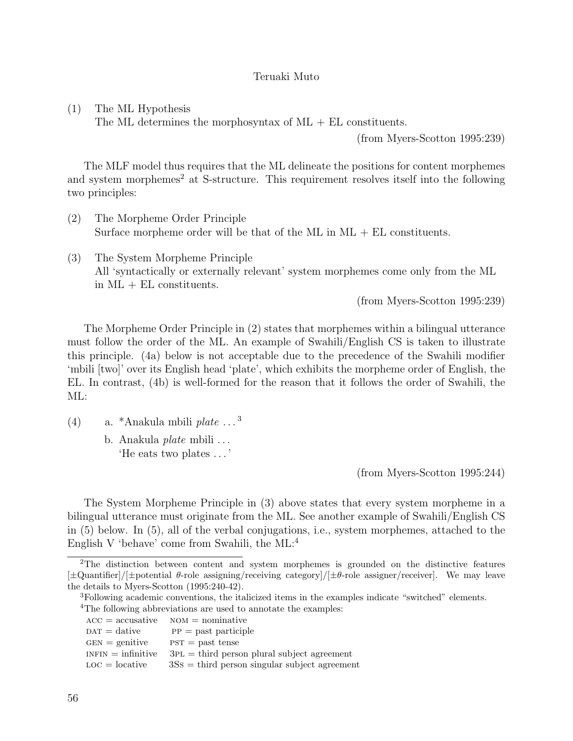(1) The ML Hypothesis

The ML determines the morphosyntax of  $ML + EL$  constituents.

(from Myers-Scotton 1995:239)

The MLF model thus requires that the ML delineate the positions for content morphemes and system morphemes<sup>2</sup> at S-structure. This requirement resolves itself into the following two principles:

- (2) The Morpheme Order Principle Surface morpheme order will be that of the ML in  $ML + EL$  constituents.
- (3) The System Morpheme Principle All 'syntactically or externally relevant' system morphemes come only from the ML in ML + EL constituents.

(from Myers-Scotton 1995:239)

The Morpheme Order Principle in (2) states that morphemes within a bilingual utterance must follow the order of the ML. An example of Swahili/English CS is taken to illustrate this principle. (4a) below is not acceptable due to the precedence of the Swahili modifier 'mbili [two]' over its English head 'plate', which exhibits the morpheme order of English, the EL. In contrast, (4b) is well-formed for the reason that it follows the order of Swahili, the ML:

- (4) a. \*Anakula mbili plate  $\dots$ <sup>3</sup>
	- b. Anakula *plate* mbili ... 'He eats two plates . . . '

(from Myers-Scotton 1995:244)

The System Morpheme Principle in (3) above states that every system morpheme in a bilingual utterance must originate from the ML. See another example of Swahili/English CS in (5) below. In (5), all of the verbal conjugations, i.e., system morphemes, attached to the English V 'behave' come from Swahili, the ML:<sup>4</sup>

<sup>4</sup>The following abbreviations are used to annotate the examples:

 $ACC = accusative$   $NOM = nominative$  $\text{DATA} = \text{dative}$  pp = past participle  $GEN =$  genitive  $PST =$  past tense  $INFIN = infinite \quad 3PL = third person plural subject agreement$  $\text{LOC} = \text{locative}$   $3SS = \text{third person singular subject agreement}$ 

<sup>&</sup>lt;sup>2</sup>The distinction between content and system morphemes is grounded on the distinctive features  $[\pm\text{Quantifier}]/[\pm\text{potential }\theta\text{-role assigning/receiving category}]/[\pm\theta\text{-role assigner/receiver}]$ . We may leave the details to Myers-Scotton (1995:240-42).

<sup>3</sup>Following academic conventions, the italicized items in the examples indicate "switched" elements.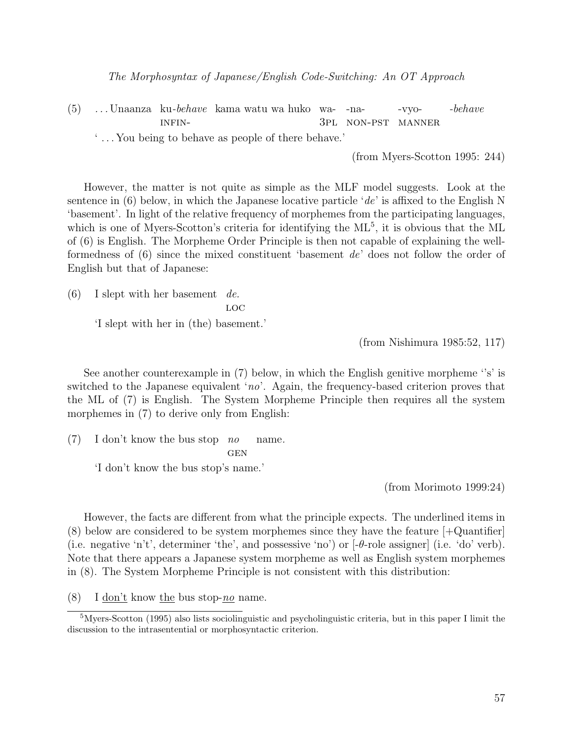- (5) . . . Unaanza ku-behave kama watu wa huko wa-INFIN-3pl non-pst manner -na--vyo--behave
	- ' . . . You being to behave as people of there behave.'

(from Myers-Scotton 1995: 244)

However, the matter is not quite as simple as the MLF model suggests. Look at the sentence in (6) below, in which the Japanese locative particle 'de' is affixed to the English N 'basement'. In light of the relative frequency of morphemes from the participating languages, which is one of Myers-Scotton's criteria for identifying the  $ML^5$ , it is obvious that the ML of (6) is English. The Morpheme Order Principle is then not capable of explaining the wellformedness of (6) since the mixed constituent 'basement de' does not follow the order of English but that of Japanese:

 $(6)$  I slept with her basement de.

LOC

'I slept with her in (the) basement.'

(from Nishimura 1985:52, 117)

See another counterexample in (7) below, in which the English genitive morpheme "s" is switched to the Japanese equivalent 'no'. Again, the frequency-based criterion proves that the ML of (7) is English. The System Morpheme Principle then requires all the system morphemes in  $(7)$  to derive only from English:

 $(7)$  I don't know the bus stop no **GEN** name.

'I don't know the bus stop's name.'

(from Morimoto 1999:24)

However, the facts are different from what the principle expects. The underlined items in (8) below are considered to be system morphemes since they have the feature [+Quantifier] (i.e. negative 'n't', determiner 'the', and possessive 'no') or  $\left[-\theta\text{-role assignment}\right]$  (i.e. 'do' verb). Note that there appears a Japanese system morpheme as well as English system morphemes in (8). The System Morpheme Principle is not consistent with this distribution:

(8) I don't know the bus stop-no name.

 $5$ Myers-Scotton (1995) also lists sociolinguistic and psycholinguistic criteria, but in this paper I limit the discussion to the intrasentential or morphosyntactic criterion.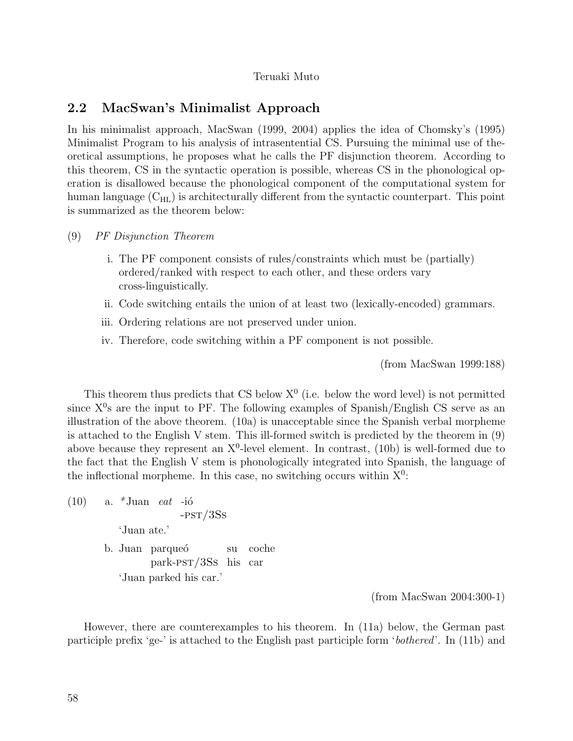## 2.2 MacSwan's Minimalist Approach

In his minimalist approach, MacSwan (1999, 2004) applies the idea of Chomsky's (1995) Minimalist Program to his analysis of intrasentential CS. Pursuing the minimal use of theoretical assumptions, he proposes what he calls the PF disjunction theorem. According to this theorem, CS in the syntactic operation is possible, whereas CS in the phonological operation is disallowed because the phonological component of the computational system for human language  $(C_{HL})$  is architecturally different from the syntactic counterpart. This point is summarized as the theorem below:

- (9) PF Disjunction Theorem
	- i. The PF component consists of rules/constraints which must be (partially) ordered/ranked with respect to each other, and these orders vary cross-linguistically.
	- ii. Code switching entails the union of at least two (lexically-encoded) grammars.
	- iii. Ordering relations are not preserved under union.
	- iv. Therefore, code switching within a PF component is not possible.

(from MacSwan 1999:188)

This theorem thus predicts that CS below  $X^0$  (i.e. below the word level) is not permitted since  $X^0$ s are the input to PF. The following examples of Spanish/English CS serve as an illustration of the above theorem. (10a) is unacceptable since the Spanish verbal morpheme is attached to the English V stem. This ill-formed switch is predicted by the theorem in (9) above because they represent an  $X^0$ -level element. In contrast, (10b) is well-formed due to the fact that the English V stem is phonologically integrated into Spanish, the language of the inflectional morpheme. In this case, no switching occurs within  $X^0$ :

 $(10)$  a. \*Juan *eat* -ió -pst/3Ss 'Juan ate.' b. Juan parqueó park-pst/3Ss his car su

'Juan parked his car.'

(from MacSwan 2004:300-1)

However, there are counterexamples to his theorem. In (11a) below, the German past participle prefix 'ge-' is attached to the English past participle form 'bothered'. In (11b) and

coche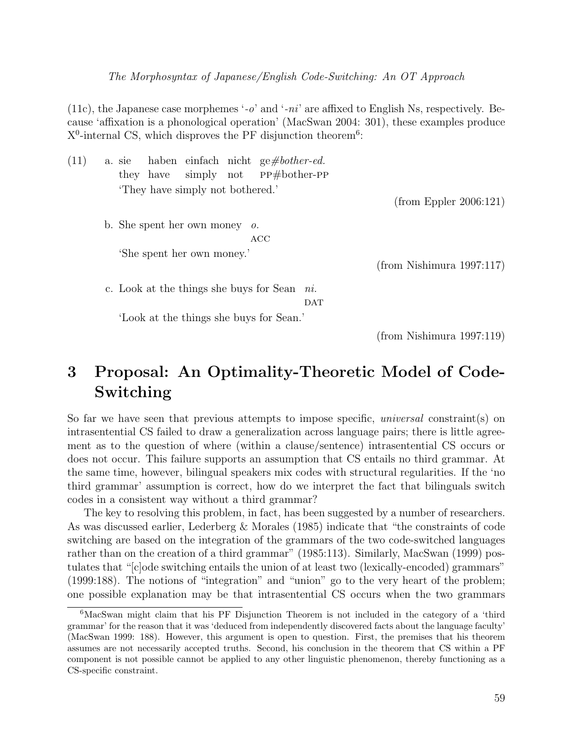The Morphosyntax of Japanese/English Code-Switching: An OT Approach

(11c), the Japanese case morphemes '-o' and '-ni' are affixed to English Ns, respectively. Because 'affixation is a phonological operation' (MacSwan 2004: 301), these examples produce  $X^0$ -internal CS, which disproves the PF disjunction theorem<sup>6</sup>:

| (11) | a. sie |                                |            | haben einfach nicht ge#bother-ed.       |            |                           |  |
|------|--------|--------------------------------|------------|-----------------------------------------|------------|---------------------------|--|
|      |        |                                |            | they have simply not PP#bother-PP       |            |                           |  |
|      |        | They have simply not bothered. |            |                                         |            |                           |  |
|      |        |                                |            |                                         |            | (from Eppler 2006:121)    |  |
|      |        | b. She spent her own money     | $\theta$ . |                                         |            |                           |  |
|      |        |                                |            | ACC                                     |            |                           |  |
|      |        | 'She spent her own money.'     |            |                                         |            |                           |  |
|      |        |                                |            |                                         |            | (from Nishimura 1997:117) |  |
|      |        |                                |            | c. Look at the things she buys for Sean | n.         |                           |  |
|      |        |                                |            |                                         | <b>DAT</b> |                           |  |
|      |        |                                |            | 'Look at the things she buys for Sean.' |            |                           |  |
|      |        |                                |            |                                         |            | (from Nishimura 1997:119) |  |

# 3 Proposal: An Optimality-Theoretic Model of Code-Switching

So far we have seen that previous attempts to impose specific, *universal* constraint(s) on intrasentential CS failed to draw a generalization across language pairs; there is little agreement as to the question of where (within a clause/sentence) intrasentential CS occurs or does not occur. This failure supports an assumption that CS entails no third grammar. At the same time, however, bilingual speakers mix codes with structural regularities. If the 'no third grammar' assumption is correct, how do we interpret the fact that bilinguals switch codes in a consistent way without a third grammar?

The key to resolving this problem, in fact, has been suggested by a number of researchers. As was discussed earlier, Lederberg & Morales (1985) indicate that "the constraints of code switching are based on the integration of the grammars of the two code-switched languages rather than on the creation of a third grammar" (1985:113). Similarly, MacSwan (1999) postulates that "[c]ode switching entails the union of at least two (lexically-encoded) grammars" (1999:188). The notions of "integration" and "union" go to the very heart of the problem; one possible explanation may be that intrasentential CS occurs when the two grammars

<sup>6</sup>MacSwan might claim that his PF Disjunction Theorem is not included in the category of a 'third grammar' for the reason that it was 'deduced from independently discovered facts about the language faculty' (MacSwan 1999: 188). However, this argument is open to question. First, the premises that his theorem assumes are not necessarily accepted truths. Second, his conclusion in the theorem that CS within a PF component is not possible cannot be applied to any other linguistic phenomenon, thereby functioning as a CS-specific constraint.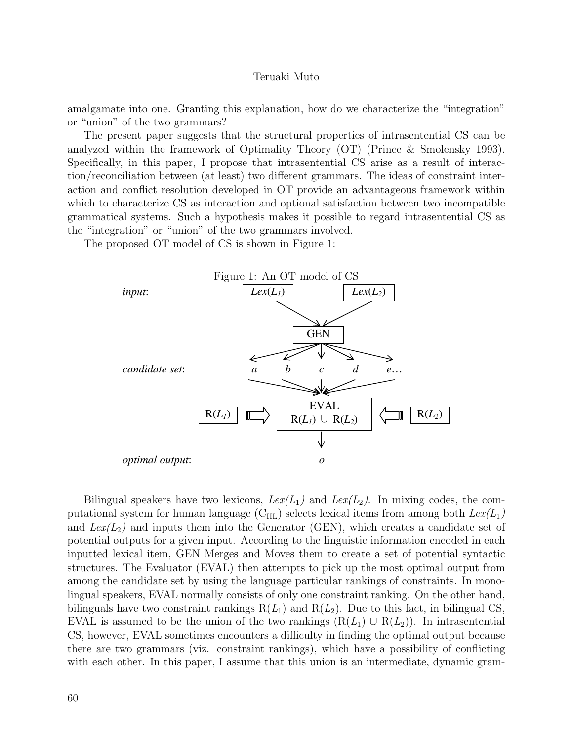amalgamate into one. Granting this explanation, how do we characterize the "integration" or "union" of the two grammars?

The present paper suggests that the structural properties of intrasentential CS can be analyzed within the framework of Optimality Theory (OT) (Prince & Smolensky 1993). Specifically, in this paper, I propose that intrasentential CS arise as a result of interaction/reconciliation between (at least) two different grammars. The ideas of constraint interaction and conflict resolution developed in OT provide an advantageous framework within which to characterize CS as interaction and optional satisfaction between two incompatible grammatical systems. Such a hypothesis makes it possible to regard intrasentential CS as the "integration" or "union" of the two grammars involved.

The proposed OT model of CS is shown in Figure 1:



Bilingual speakers have two lexicons,  $Lex(L_{1})$  and  $Lex(L_{2})$ . In mixing codes, the computational system for human language  $(C_{HL})$  selects lexical items from among both  $Lex(L_1)$ and  $Lex(L_{2})$  and inputs them into the Generator (GEN), which creates a candidate set of potential outputs for a given input. According to the linguistic information encoded in each inputted lexical item, GEN Merges and Moves them to create a set of potential syntactic structures. The Evaluator (EVAL) then attempts to pick up the most optimal output from among the candidate set by using the language particular rankings of constraints. In monolingual speakers, EVAL normally consists of only one constraint ranking. On the other hand, bilinguals have two constraint rankings  $R(L_1)$  and  $R(L_2)$ . Due to this fact, in bilingual CS, EVAL is assumed to be the union of the two rankings  $(R(L_1) \cup R(L_2))$ . In intrasentential CS, however, EVAL sometimes encounters a difficulty in finding the optimal output because there are two grammars (viz. constraint rankings), which have a possibility of conflicting with each other. In this paper, I assume that this union is an intermediate, dynamic gram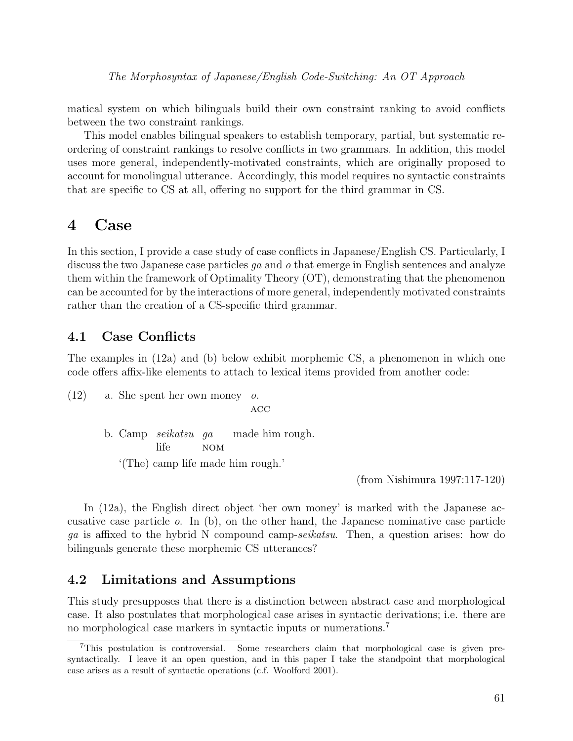matical system on which bilinguals build their own constraint ranking to avoid conflicts between the two constraint rankings.

This model enables bilingual speakers to establish temporary, partial, but systematic reordering of constraint rankings to resolve conflicts in two grammars. In addition, this model uses more general, independently-motivated constraints, which are originally proposed to account for monolingual utterance. Accordingly, this model requires no syntactic constraints that are specific to CS at all, offering no support for the third grammar in CS.

## 4 Case

In this section, I provide a case study of case conflicts in Japanese/English CS. Particularly, I discuss the two Japanese case particles  $qa$  and  $o$  that emerge in English sentences and analyze them within the framework of Optimality Theory (OT), demonstrating that the phenomenon can be accounted for by the interactions of more general, independently motivated constraints rather than the creation of a CS-specific third grammar.

## 4.1 Case Conflicts

The examples in (12a) and (b) below exhibit morphemic CS, a phenomenon in which one code offers affix-like elements to attach to lexical items provided from another code:

(12) a. She spent her own money  $\alpha$ .  $ACC$ b. Camp seikatsu ga life nom made him rough. '(The) camp life made him rough.'

(from Nishimura 1997:117-120)

In (12a), the English direct object 'her own money' is marked with the Japanese accusative case particle o. In (b), on the other hand, the Japanese nominative case particle ga is affixed to the hybrid N compound camp-seikatsu. Then, a question arises: how do bilinguals generate these morphemic CS utterances?

### 4.2 Limitations and Assumptions

This study presupposes that there is a distinction between abstract case and morphological case. It also postulates that morphological case arises in syntactic derivations; i.e. there are no morphological case markers in syntactic inputs or numerations.<sup>7</sup>

<sup>7</sup>This postulation is controversial. Some researchers claim that morphological case is given presyntactically. I leave it an open question, and in this paper I take the standpoint that morphological case arises as a result of syntactic operations (c.f. Woolford 2001).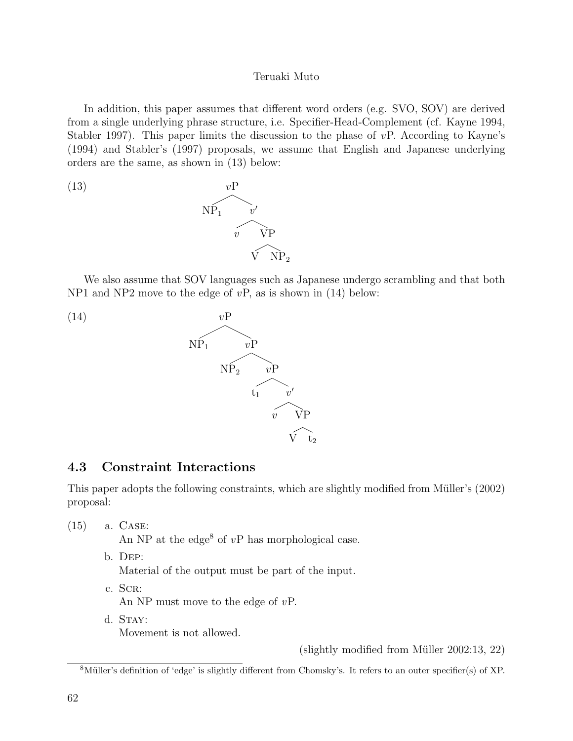In addition, this paper assumes that different word orders (e.g. SVO, SOV) are derived from a single underlying phrase structure, i.e. Specifier-Head-Complement (cf. Kayne 1994, Stabler 1997). This paper limits the discussion to the phase of  $vP$ . According to Kayne's (1994) and Stabler's (1997) proposals, we assume that English and Japanese underlying orders are the same, as shown in (13) below:



We also assume that SOV languages such as Japanese undergo scrambling and that both NP1 and NP2 move to the edge of  $vP$ , as is shown in (14) below:



## 4.3 Constraint Interactions

This paper adopts the following constraints, which are slightly modified from Müller's (2002) proposal:

(15) a. Case:

An NP at the edge<sup>8</sup> of  $vP$  has morphological case.

b. Dep:

Material of the output must be part of the input.

- c. SCR: An NP must move to the edge of vP.
- d. STAY: Movement is not allowed.

(slightly modified from Müller  $2002:13, 22$ )

 $8$ Müller's definition of 'edge' is slightly different from Chomsky's. It refers to an outer specifier(s) of XP.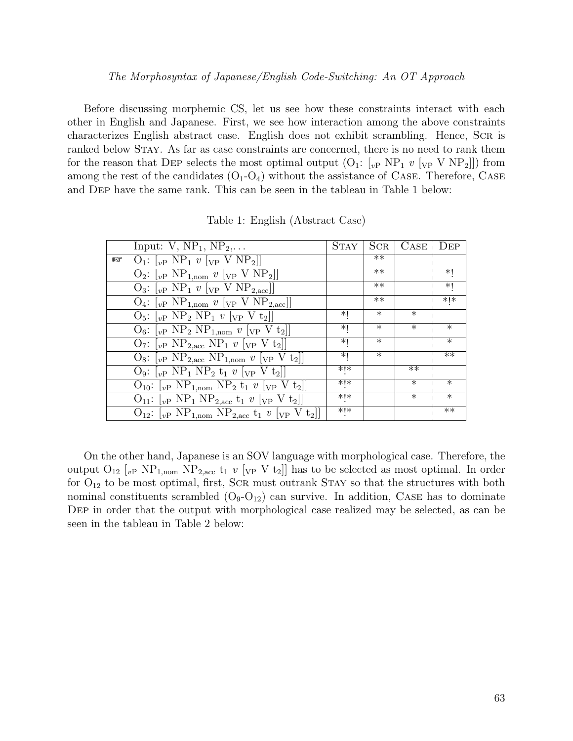#### The Morphosyntax of Japanese/English Code-Switching: An OT Approach

Before discussing morphemic CS, let us see how these constraints interact with each other in English and Japanese. First, we see how interaction among the above constraints characterizes English abstract case. English does not exhibit scrambling. Hence, Scr is ranked below STAY. As far as case constraints are concerned, there is no need to rank them for the reason that DEP selects the most optimal output  $(O_1: [v_P \ N P_1 \ v [v_P \ V \ N P_2]])$  from among the rest of the candidates  $(O_1-O_4)$  without the assistance of CASE. Therefore, CASE and Dep have the same rank. This can be seen in the tableau in Table 1 below:

| Input: $V$ , $NP_1$ , $NP_2$ ,                                                                                                | <b>STAY</b> | SCR    | $CASE$ $DEF$ |                   |
|-------------------------------------------------------------------------------------------------------------------------------|-------------|--------|--------------|-------------------|
| $Q_1: [v_P NP_1 v [v_P VP NP_2]]$<br>昣                                                                                        |             | $***$  |              |                   |
| $O_2$ : $[vP NP_{1,nom} \ v [VP V NP_2]]$                                                                                     |             | $***$  |              | *۱                |
| $O_3$ : $\lbrack_{vP}$ NP <sub>1</sub> v $\lbrack_{VP}$ V NP <sub>2,acc</sub> ]                                               |             | $***$  |              | *۱                |
| $O_4$ : $[vP NP_{1,nom} \ v[vP V NP_{2,acc}]]$                                                                                |             | $**$   |              | $*$   $*$         |
| $O_5$ : $\lceil_{vP} NP_2 NP_1 v \rceil_{VP} V t_2 \rceil$                                                                    | *۱          | $\ast$ | $\ast$       |                   |
| $O_6$ : $\lbrack_{vP} NP_2 NP_{1,nom} v \rbrack_{VP} V t_2 \rbrack$                                                           | *۱          | $\ast$ | $\ast$       | $\ast$            |
| $O_7:$ $[vP \ NP_{2,\text{acc}} \ NP_1 \ v \ [VP \ V \ t_2]]$                                                                 | *۱          | $\ast$ |              | $\ast$            |
| $O_8$ : $[vP \ NP_{2,\text{acc}} \ NP_{1,\text{nom}} v [vP \ V t_2]]$                                                         | *۱          | $\ast$ |              | $**$              |
| $\mathrm{O}_9$ : $\mathrm{[}_v$ NP <sub>1</sub> NP <sub>2</sub> t <sub>1</sub> v $\mathrm{[}_v$ V t <sub>2</sub> $\mathrm{[}$ | * *         |        | $***$        |                   |
| $O_{10}$ : $[vP NP_{1,nom} NP_2 t_1 v [VP V t_2]]$                                                                            | * ∗         |        | $\ast$       | $\ast$            |
| $O_{11}:$ $[v_{P} NP_{1} NP_{2,\text{acc}} t_1 v[v_{P} V t_2]]$                                                               | ∗l∗         |        | $\ast$       | $\overline{\ast}$ |
| $O_{12}:$ [ <sub>vP</sub> NP <sub>1,nom</sub> NP <sub>2,acc</sub> t <sub>1</sub> v [ <sub>VP</sub> V t <sub>2</sub> ]]        | $*$   $*$   |        |              | $**$              |

Table 1: English (Abstract Case)

On the other hand, Japanese is an SOV language with morphological case. Therefore, the output  $O_{12}$  [<sub>vP</sub> NP<sub>1,nom</sub> NP<sub>2,acc</sub> t<sub>1</sub> v [<sub>VP</sub> V t<sub>2</sub>]] has to be selected as most optimal. In order for  $O_{12}$  to be most optimal, first, SCR must outrank STAY so that the structures with both nominal constituents scrambled  $(O_9-O_{12})$  can survive. In addition, CASE has to dominate DEP in order that the output with morphological case realized may be selected, as can be seen in the tableau in Table 2 below: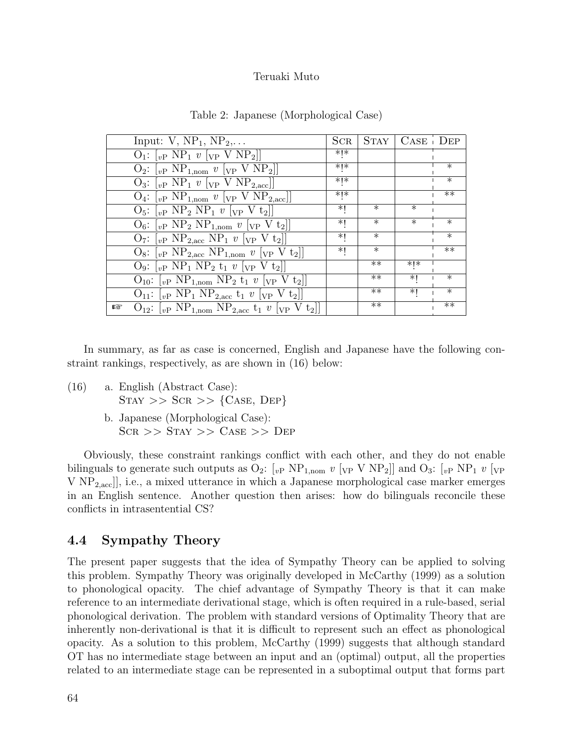| Input: $V$ , $NP_1$ , $NP_2$ ,                                                                                                                                                                               | $_{\rm{SCR}}$ |        | $STAY \mid CASE \mid DEF$ |                   |
|--------------------------------------------------------------------------------------------------------------------------------------------------------------------------------------------------------------|---------------|--------|---------------------------|-------------------|
| $Q_1$ : $\left[\begin{smallmatrix} v_P & NP_1 & v \end{smallmatrix}\right]\left[\begin{smallmatrix} V_P & V & NP_2 \end{smallmatrix}\right]$                                                                 | ∗l∗           |        |                           |                   |
| $O_2$ : $\left[v\text{P } NP_{1,\text{nom}}\ v\ \left[v\text{P } VP_2\right]\right]$                                                                                                                         | * ∗           |        |                           | $\ast$            |
| $Q_3$ : $\lbrack_{vP}$ NP <sub>1</sub> v $\lbrack_{VP}$ V NP <sub>2,acc</sub> ]                                                                                                                              | * *           |        |                           | $\overline{\ast}$ |
| $Q_4$ : $\left[v\text{P NP}_{1,\text{nom}}\ v\ \text{[VP V NP}_{2,\text{acc}}\right]\right]$                                                                                                                 | ∗l∗           |        |                           | $***$             |
| $O_5: \begin{bmatrix} v_P & NP_2 & NP_1 & v \end{bmatrix}$ $[v_P \ V t_2]]$                                                                                                                                  | ∗I            | $\ast$ | $\ast$                    |                   |
| $O_6:$ $[vP NP_2 NP_{1,nom} v [vP V t_2]]$                                                                                                                                                                   | ∗I            | $\ast$ | $\ast$                    | $\ast$            |
| $O_7:$ $[v_P \ NP_{2,\text{acc}} \ NP_1 \ v \ [v_P \ V \ t_2]]$                                                                                                                                              | $*1$          | $\ast$ |                           | $\ast$            |
| $O_8$ : $[vP NP_{2,\text{acc}} NP_{1,\text{nom}} v [vP V t_2]]$                                                                                                                                              | ∗I            | $\ast$ |                           | $***$             |
| $\mathrm{O}_9$ : $\left[\begin{smallmatrix} v_{\mathrm{P}} & \mathrm{NP}_1 & \mathrm{NP}_2 & t_1 & v \end{smallmatrix}\right]$ $\left[\begin{smallmatrix} v_{\mathrm{P}} & V & t_2 \end{smallmatrix}\right]$ |               | $***$  | *∣*                       |                   |
| $O_{10}$ : $[vP NP_{1,nom} NP_2 t_1 v [VP V t_2]]$                                                                                                                                                           |               | $***$  | ∗∣                        | $\ast$            |
| $O_{11}:$ $[vP NP_1 NP_{2,\text{acc}} t_1 v [vP V t_2]]$                                                                                                                                                     |               | $***$  | *۱                        | $\ast$            |
| $O_{12}$ : $[vP NP_{1,nom} NP_{2,\text{acc}} t_1 v [vP V t_2]]$<br>哸                                                                                                                                         |               | $***$  |                           | $**$              |

| Table 2: Japanese (Morphological Case) |  |  |  |
|----------------------------------------|--|--|--|
|----------------------------------------|--|--|--|

In summary, as far as case is concerned, English and Japanese have the following constraint rankings, respectively, as are shown in (16) below:

- (16) a. English (Abstract Case):  $STAY \gg SCR \gg \{CASE, DEP\}$ 
	- b. Japanese (Morphological Case):  $SCR$  >>  $STAY$  >>  $CASE$  >>  $DEF$

Obviously, these constraint rankings conflict with each other, and they do not enable bilinguals to generate such outputs as  $O_2$ :  $\lbrack v_P \text{ NP}_{1,\text{nom}} v \rbrack_{VP} V NP_2 \rbrack$  and  $O_3$ :  $\lbrack v_P NP_1 v \rbrack_{VP}$ V NP2,acc]], i.e., a mixed utterance in which a Japanese morphological case marker emerges in an English sentence. Another question then arises: how do bilinguals reconcile these conflicts in intrasentential CS?

## 4.4 Sympathy Theory

The present paper suggests that the idea of Sympathy Theory can be applied to solving this problem. Sympathy Theory was originally developed in McCarthy (1999) as a solution to phonological opacity. The chief advantage of Sympathy Theory is that it can make reference to an intermediate derivational stage, which is often required in a rule-based, serial phonological derivation. The problem with standard versions of Optimality Theory that are inherently non-derivational is that it is difficult to represent such an effect as phonological opacity. As a solution to this problem, McCarthy (1999) suggests that although standard OT has no intermediate stage between an input and an (optimal) output, all the properties related to an intermediate stage can be represented in a suboptimal output that forms part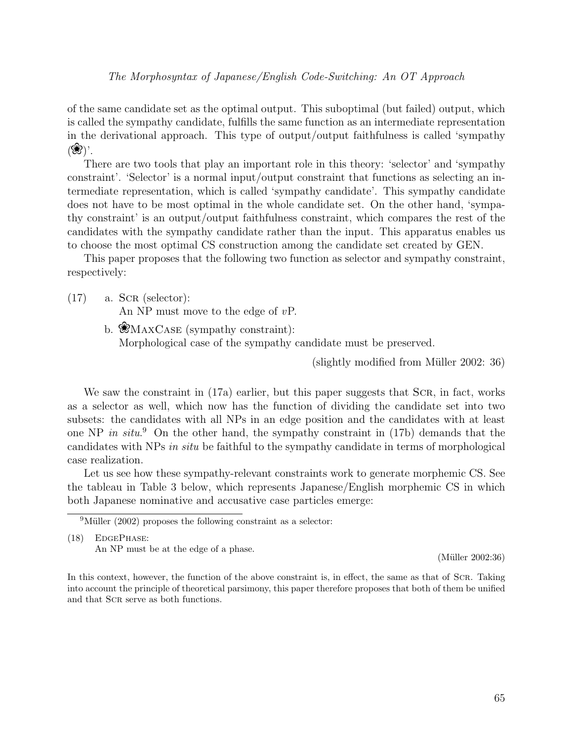of the same candidate set as the optimal output. This suboptimal (but failed) output, which is called the sympathy candidate, fulfills the same function as an intermediate representation in the derivational approach. This type of output/output faithfulness is called 'sympathy  $(\mathscr{B})'.$ 

There are two tools that play an important role in this theory: 'selector' and 'sympathy constraint'. 'Selector' is a normal input/output constraint that functions as selecting an intermediate representation, which is called 'sympathy candidate'. This sympathy candidate does not have to be most optimal in the whole candidate set. On the other hand, 'sympathy constraint' is an output/output faithfulness constraint, which compares the rest of the candidates with the sympathy candidate rather than the input. This apparatus enables us to choose the most optimal CS construction among the candidate set created by GEN.

This paper proposes that the following two function as selector and sympathy constraint, respectively:

- $(17)$  a. SCR (selector): An NP must move to the edge of  $vP$ .
	- b.  $MAXCASE$  (sympathy constraint): Morphological case of the sympathy candidate must be preserved.

 $(slightly modified from Müller 2002: 36)$ 

We saw the constraint in (17a) earlier, but this paper suggests that SCR, in fact, works as a selector as well, which now has the function of dividing the candidate set into two subsets: the candidates with all NPs in an edge position and the candidates with at least one NP in situ.<sup>9</sup> On the other hand, the sympathy constraint in (17b) demands that the candidates with NPs in situ be faithful to the sympathy candidate in terms of morphological case realization.

Let us see how these sympathy-relevant constraints work to generate morphemic CS. See the tableau in Table 3 below, which represents Japanese/English morphemic CS in which both Japanese nominative and accusative case particles emerge:

(18) EdgePhase: An NP must be at the edge of a phase.

 $(Müller 2002:36)$ 

 $9$ Müller (2002) proposes the following constraint as a selector:

In this context, however, the function of the above constraint is, in effect, the same as that of Scr. Taking into account the principle of theoretical parsimony, this paper therefore proposes that both of them be unified and that SCR serve as both functions.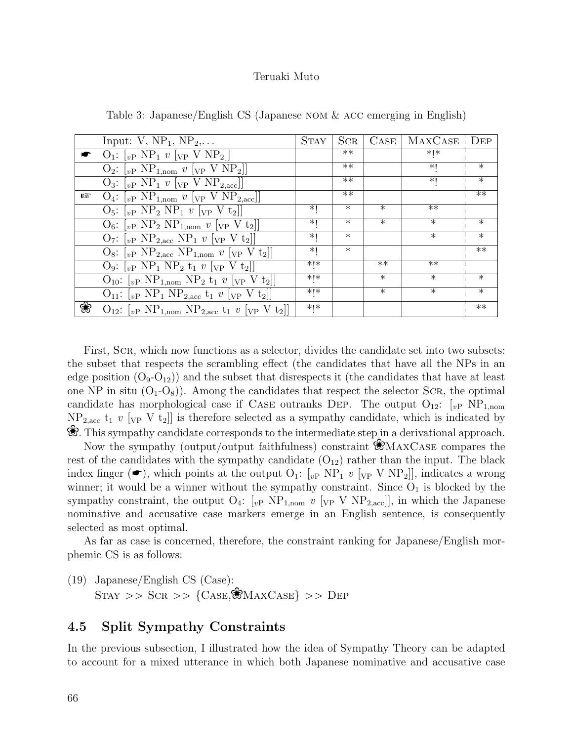|   | Input: $V$ , $NP_1$ , $NP_2$ ,                                                                 | <b>STAY</b> | SCR    | $CASE \vert$ | MAXCASE DEP |                   |
|---|------------------------------------------------------------------------------------------------|-------------|--------|--------------|-------------|-------------------|
|   | $O_1: \begin{bmatrix} v_P & NP_1 & v \end{bmatrix}$ $\begin{bmatrix} v_P & VP_2 \end{bmatrix}$ |             | $***$  |              | ∗l∗         |                   |
|   | $O_2$ : $[vP NP_{1,nom} v [vP V NP_2]]$                                                        |             | $***$  |              | $*1$        | $\ast$            |
|   | $O_3:$ $[vP NP_1 \ v [VP V NP_{2,acc}]]$                                                       |             | **     |              | $*1$        | $\overline{\ast}$ |
| 曙 | $O_4$ : $[vP NP_{1,nom} \ v [VP V NP_{2,acc}]]$                                                |             | $***$  |              |             | $**$              |
|   | $O_5$ : $[v_P NP_2 NP_1 v [v_P V t_2]]$                                                        | *1          | $\ast$ | $\ast$       | $**$        |                   |
|   | $O_6$ : $\lceil_{vP} NP_2 NP_{1,nom} v \rceil_{VP} V t_2 \rceil$                               | *1          | $\ast$ | $\ast$       | $\ast$      | $\ast$            |
|   | $O_7: \begin{bmatrix} v_P & NP_{2,\text{acc}} & NP_1 & v \ V_P & V & t_2 \end{bmatrix}$        | *۱          | $\ast$ |              | $\ast$      | $\ast$            |
|   | $O_8$ : $[vP NP_{2,\text{acc}} NP_{1,\text{nom}} v [vP V t_2]]$                                | *۱          | $\ast$ |              |             | $***$             |
|   | $Q_9$ : $\lceil_{vP} NP_1 NP_2 t_1 v \rceil_{VP} V t_2 \rceil$                                 | $*$   $*$   |        | $**$         | $***$       |                   |
|   | $O_{10}$ : $[vP NP_{1,nom} NP_2 t_1 v [vP V t_2]]$                                             | $*$   $*$   |        | $\ast$       | $\ast$      | $\ast$            |
|   | $O_{11}:$ $[v_{P} NP_{1} NP_{2,\text{acc}} t_1 v [v_{P} V t_2]]$                               | *l∗         |        | $\ast$       | $\ast$      | $\overline{\ast}$ |
| ❀ | $O_{12}$ : $[vP NP_{1,nom} NP_{2,\text{acc}} t_1 v [vP V t_2]]$                                | *!*         |        |              |             | $***$             |

Table 3: Japanese/English CS (Japanese nom & acc emerging in English)

First, Scr, which now functions as a selector, divides the candidate set into two subsets: the subset that respects the scrambling effect (the candidates that have all the NPs in an edge position  $(O_9-O_{12})$  and the subset that disrespects it (the candidates that have at least one NP in situ  $(O_1-O_8)$ . Among the candidates that respect the selector Scr, the optimal candidate has morphological case if CASE outranks DEP. The output  $O_{12}$ :  $\left[ v\right]$  NP<sub>1,nom</sub>  $NP<sub>2,acc</sub> t<sub>1</sub> v [v<sub>P</sub> V t<sub>2</sub>]]$  is therefore selected as a sympathy candidate, which is indicated by R. This sympathy candidate corresponds to the intermediate step in a derivational approach.

Now the sympathy (output/output faithfulness) constraint  $\mathcal{R}_{\text{MAXCASE}}$  compares the rest of the candidates with the sympathy candidate  $(O_{12})$  rather than the input. The black index finger ( $\bullet$ ), which points at the output  $O_1$ : [<sub>vP</sub> NP<sub>1</sub> v [<sub>VP</sub> V NP<sub>2</sub>]], indicates a wrong winner; it would be a winner without the sympathy constraint. Since  $O_1$  is blocked by the sympathy constraint, the output  $O_4$ :  $\left[v\right]$  NP<sub>1,nom</sub> v  $\left[v\right]$  V NP<sub>2,acc</sub>]], in which the Japanese nominative and accusative case markers emerge in an English sentence, is consequently selected as most optimal.

As far as case is concerned, therefore, the constraint ranking for Japanese/English morphemic CS is as follows:

(19) Japanese/English CS (Case):  $STAY \gg SCR \gg \{CASE, \& MAXCASE\} \gg DEP$ 

## 4.5 Split Sympathy Constraints

In the previous subsection, I illustrated how the idea of Sympathy Theory can be adapted to account for a mixed utterance in which both Japanese nominative and accusative case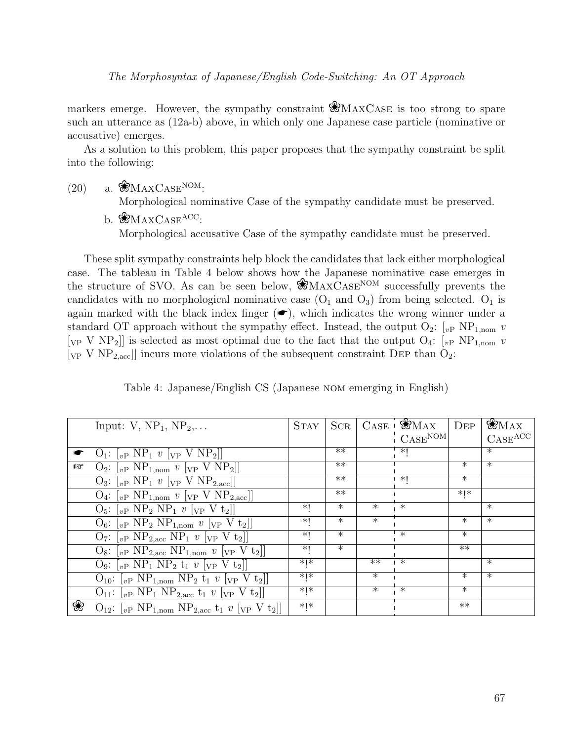The Morphosyntax of Japanese/English Code-Switching: An OT Approach

markers emerge. However, the sympathy constraint  $\mathcal{R}_{\text{MAXCASE}}$  is too strong to spare such an utterance as (12a-b) above, in which only one Japanese case particle (nominative or accusative) emerges.

As a solution to this problem, this paper proposes that the sympathy constraint be split into the following:

 $(20)$  a.  $\mathcal{W}_{\text{MAXCASE}}^{\text{NOM}}$ :

Morphological nominative Case of the sympathy candidate must be preserved.

 $b.$  **RMAXCASE**ACC: Morphological accusative Case of the sympathy candidate must be preserved.

These split sympathy constraints help block the candidates that lack either morphological case. The tableau in Table 4 below shows how the Japanese nominative case emerges in the structure of SVO. As can be seen below,  $\mathcal{R}_{MAXCASE}^{NOM}$  successfully prevents the candidates with no morphological nominative case  $(O_1 \text{ and } O_3)$  from being selected.  $O_1$  is again marked with the black index finger  $(\bullet)$ , which indicates the wrong winner under a standard OT approach without the sympathy effect. Instead, the output  $O_2$ :  $\vert_{v}$  NP<sub>1,nom</sub> v [ $_{VP}$  V NP<sub>2</sub>]] is selected as most optimal due to the fact that the output O<sub>4</sub>: [ $_{v}$ P NP<sub>1,nom</sub> v [ $VP$  V NP<sub>2,acc</sub>]] incurs more violations of the subsequent constraint DEP than  $O_2$ :

|  |  | Table 4: Japanese/English CS (Japanese NOM emerging in English) |  |  |
|--|--|-----------------------------------------------------------------|--|--|
|  |  |                                                                 |  |  |

|   | Input: $V$ , $NP_1$ , $NP_2$                                                                                          | <b>STAY</b> | $_{\rm{SCR}}$ |                   | $CASE \cdot$ WMAX                            | $\rm{DEP}$ | <b>WMAX</b>                    |
|---|-----------------------------------------------------------------------------------------------------------------------|-------------|---------------|-------------------|----------------------------------------------|------------|--------------------------------|
|   |                                                                                                                       |             |               |                   | $\overline{\phantom{a}}$ CASE <sup>NOM</sup> |            | $\mathrm{CASE}^{\mathrm{ACC}}$ |
|   | $O_1: \lbrack_{vP} NP_1 v \rbrack_{VP} V NP_2 \rbrack$                                                                |             | $**$          |                   | *!                                           |            | $\ast$                         |
| 曙 | $O_2$ : $[vP NP_{1,nom} v [VP V NP_2]]$                                                                               |             | $***$         |                   |                                              | $\ast$     | $\ast$                         |
|   | $Q_3$ : $\lbrack_{vP}$ NP <sub>1</sub> v $\lbrack_{VP}$ V NP <sub>2,acc</sub> ]                                       |             | $**$          |                   | $*1$                                         | $\ast$     |                                |
|   | $Q_4$ : $\lbrack_{vP}$ NP <sub>1,nom</sub> $v$ $\lbrack_{VP}$ V NP <sub>2,acc</sub> ]                                 |             | $***$         |                   |                                              | $*$   $*$  |                                |
|   | $O_5$ : $\lceil_{vP} NP_2 NP_1 v \rceil_{VP} V t_2 \rceil$                                                            | ∗∣          | $\ast$        | $\overline{\ast}$ | $\overline{\ast}$                            |            | $\ast$                         |
|   | $O_6:$ $[vP NP_2 NP_{1,nom} v [vP V t_2]]$                                                                            | *1          | $\ast$        | $\ast$            |                                              | $\ast$     | $\ast$                         |
|   | $O_7: \begin{bmatrix} v_P & NP_{2,\text{acc}} & NP_1 & v \end{bmatrix}$ $\begin{bmatrix} v_P & V & t_2 \end{bmatrix}$ | *1          | $\ast$        |                   | $\ast$                                       | $\ast$     |                                |
|   | $O_8$ : [ <sub>vP</sub> NP <sub>2,acc</sub> NP <sub>1,nom</sub> v [ <sub>VP</sub> V t <sub>2</sub> ]]                 | $*1$        | $\ast$        |                   |                                              | $**$       |                                |
|   | O <sub>9</sub> : $\lbrack v_P NP_1 NP_2 t_1 v \rbrack v_P V t_2 \rbrack$                                              | ∗l∗         |               | $**$              | $\ast$                                       |            | $\ast$                         |
|   | $O_{10}$ : $[vP NP_{1,nom} NP_2 t_1 v [vP V t_2]]$                                                                    | $*$   $*$   |               | $\ast$            |                                              | $\ast$     | $\ast$                         |
|   | $O_{11}:$ $[vP NP_1 NP_{2,\text{acc}} t_1 v [vP V t_2]]$                                                              | $*!*$       |               | $\ast$            | $\ast$                                       | $\ast$     |                                |
| ❀ | $O_{12}$ : $\lbrack_{vP} NP_{1,nom} NP_{2,acc} t_1 v \rbrack_{VP} V t_2 \rbrack$                                      | $*$   $*$   |               |                   |                                              | $**$       |                                |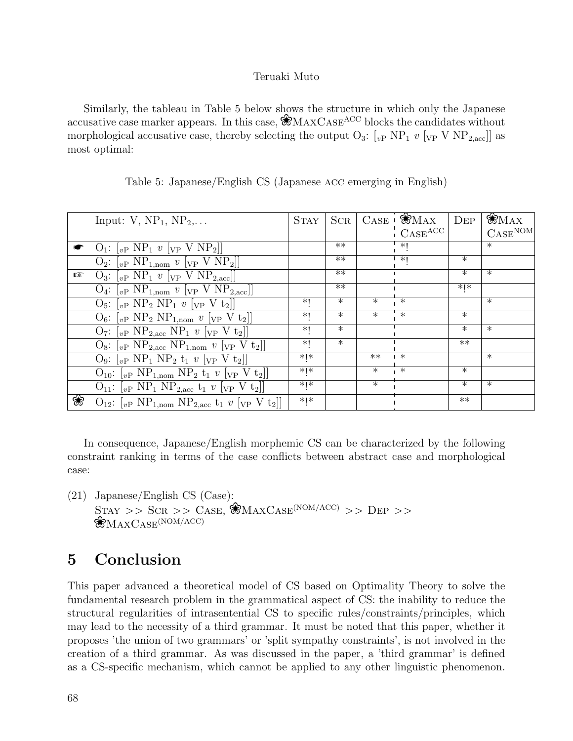Similarly, the tableau in Table 5 below shows the structure in which only the Japanese accusative case marker appears. In this case,  $\mathcal{R}_{\text{MAXCASE}}^{\text{ACC}}$  blocks the candidates without morphological accusative case, thereby selecting the output  $O_3$ : [<sub>vP</sub> NP<sub>1</sub> v [<sub>VP</sub> V NP<sub>2,acc</sub>]] as most optimal:

|   | Input: $V$ , $NP_1$ , $NP_2$ ,                                                                                                 | <b>STAY</b>     | $_{\rm{SCR}}$     |                   | $CASE \cdot$ WMAX              | $\rm{Dep}$ | $\mathcal{B}_{\text{MAX}}$ |
|---|--------------------------------------------------------------------------------------------------------------------------------|-----------------|-------------------|-------------------|--------------------------------|------------|----------------------------|
|   |                                                                                                                                |                 |                   |                   | $\mathrm{CASE}^{\mathrm{ACC}}$ |            | $CASE^{NOM}$               |
|   | $O_1: \lbrack_{vP} NP_1 v \rbrack_{VP} V NP_2 \rbrack$                                                                         |                 | $**$              |                   | $*1$                           |            | $\ast$                     |
|   | $Q_2$ : $[vP NP_{1,nom} v [vP V NP_2]]$                                                                                        |                 | $**$              |                   | $*1$                           | $\ast$     |                            |
| 晗 | $Q_3$ : $[v_P NP_1 v [v_P V NP_{2,\text{acc}}]]$                                                                               |                 | $**$              |                   |                                | $\ast$     | $\ast$                     |
|   | $Q_4$ : $\left[v\text{P NP}_{1,\text{nom}}\ v\ \left[v\text{P V NP}_{2,\text{acc}}\right]\right]$                              |                 | $**$              |                   |                                | $*$   $*$  |                            |
|   | $O_5$ : $\lbrack v_P \text{ NP}_2 \text{ NP}_1 v \rbrack v_P V t_2 \rbrack$                                                    | ∗।              | $\overline{\ast}$ | $\overline{\ast}$ | $\overline{\ast}$              |            | $\ast$                     |
|   | $O_6:$ $[vP \ NP_2 \ NP_{1,nom} \ v[vP \ V t_2]]$                                                                              | $*1$            | $\ast$            | $\ast$            | $\ast$                         | $\ast$     |                            |
|   | $O_7$ : $\lbrack_{vP}$ NP <sub>2,acc</sub> NP <sub>1</sub> v $\lbrack_{VP}$ V t <sub>2</sub> ]                                 | $*1$            | $\ast$            |                   |                                | $\ast$     | $\ast$                     |
|   | $\mathrm{O}_8$ : $\mathrm{[}_{vP}$ NP <sub>2,acc</sub> NP <sub>1,nom</sub> $v$ $\mathrm{[}_{VP}$ V t <sub>2</sub> $\mathrm{]}$ | *l              | $\ast$            |                   |                                | $**$       |                            |
|   | $Q_9$ : $\lbrack_{vP}$ NP <sub>1</sub> NP <sub>2</sub> t <sub>1</sub> v $\lbrack_{VP}$ V t <sub>2</sub> ]                      | $*$   $*$       |                   | $**$              | $\ast$                         |            | $\ast$                     |
|   | $O_{10}$ : $[vP NP_{1,nom} NP_2 t_1 v [VP V t_2]]$                                                                             | $*$   $*$       |                   | $\overline{\ast}$ | $\overline{\ast}$              | $\ast$     |                            |
|   | $O_{11}:$ $[vP NP_1 NP_{2,\text{acc}} t_1 v [vP V t_2]]$                                                                       | $*$   $*$       |                   | $\ast$            |                                | $\ast$     | $\ast$                     |
| ❀ | $O_{12}:$ [ <sub>vP</sub> NP <sub>1,nom</sub> NP <sub>2,acc</sub> t <sub>1</sub> v [ <sub>VP</sub> V t <sub>2</sub> ]]         | $\ast$   $\ast$ |                   |                   |                                | $**$       |                            |

Table 5: Japanese/English CS (Japanese acc emerging in English)

In consequence, Japanese/English morphemic CS can be characterized by the following constraint ranking in terms of the case conflicts between abstract case and morphological case:

(21) Japanese/English CS (Case):  $STAY \gg SCR \gg CASE$ ,  $\mathcal{L}_{MAXCASE}^{MOM/ACC} \gg DEP \gg$  $\mathcal{R}_{\text{MAXCASE}}^{\text{(NOM/ACC)}}$ 

## 5 Conclusion

This paper advanced a theoretical model of CS based on Optimality Theory to solve the fundamental research problem in the grammatical aspect of CS: the inability to reduce the structural regularities of intrasentential CS to specific rules/constraints/principles, which may lead to the necessity of a third grammar. It must be noted that this paper, whether it proposes 'the union of two grammars' or 'split sympathy constraints', is not involved in the creation of a third grammar. As was discussed in the paper, a 'third grammar' is defined as a CS-specific mechanism, which cannot be applied to any other linguistic phenomenon.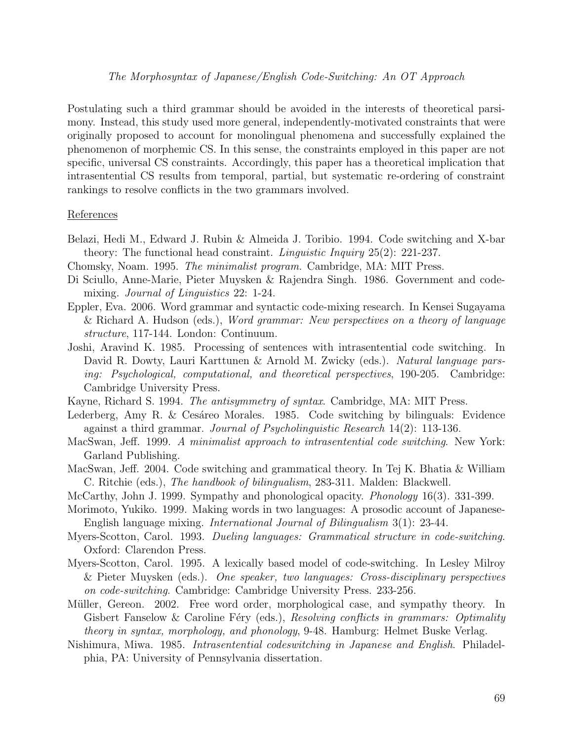Postulating such a third grammar should be avoided in the interests of theoretical parsimony. Instead, this study used more general, independently-motivated constraints that were originally proposed to account for monolingual phenomena and successfully explained the phenomenon of morphemic CS. In this sense, the constraints employed in this paper are not specific, universal CS constraints. Accordingly, this paper has a theoretical implication that intrasentential CS results from temporal, partial, but systematic re-ordering of constraint rankings to resolve conflicts in the two grammars involved.

#### References

- Belazi, Hedi M., Edward J. Rubin & Almeida J. Toribio. 1994. Code switching and X-bar theory: The functional head constraint. *Linguistic Inquiry*  $25(2)$ :  $221-237$ .
- Chomsky, Noam. 1995. The minimalist program. Cambridge, MA: MIT Press.
- Di Sciullo, Anne-Marie, Pieter Muysken & Rajendra Singh. 1986. Government and codemixing. *Journal of Linguistics* 22: 1-24.
- Eppler, Eva. 2006. Word grammar and syntactic code-mixing research. In Kensei Sugayama & Richard A. Hudson (eds.), Word grammar: New perspectives on a theory of language structure, 117-144. London: Continuum.
- Joshi, Aravind K. 1985. Processing of sentences with intrasentential code switching. In David R. Dowty, Lauri Karttunen & Arnold M. Zwicky (eds.). Natural language parsing: Psychological, computational, and theoretical perspectives, 190-205. Cambridge: Cambridge University Press.
- Kayne, Richard S. 1994. The antisymmetry of syntax. Cambridge, MA: MIT Press.
- Lederberg, Amy R. & Cesáreo Morales. 1985. Code switching by bilinguals: Evidence against a third grammar. Journal of Psycholinguistic Research 14(2): 113-136.
- MacSwan, Jeff. 1999. A minimalist approach to intrasentential code switching. New York: Garland Publishing.
- MacSwan, Jeff. 2004. Code switching and grammatical theory. In Tej K. Bhatia & William C. Ritchie (eds.), *The handbook of bilingualism*, 283-311. Malden: Blackwell.
- McCarthy, John J. 1999. Sympathy and phonological opacity. Phonology 16(3). 331-399.
- Morimoto, Yukiko. 1999. Making words in two languages: A prosodic account of Japanese-English language mixing. International Journal of Bilingualism 3(1): 23-44.
- Myers-Scotton, Carol. 1993. Dueling languages: Grammatical structure in code-switching. Oxford: Clarendon Press.
- Myers-Scotton, Carol. 1995. A lexically based model of code-switching. In Lesley Milroy & Pieter Muysken (eds.). One speaker, two languages: Cross-disciplinary perspectives on code-switching. Cambridge: Cambridge University Press. 233-256.
- Müller, Gereon. 2002. Free word order, morphological case, and sympathy theory. In Gisbert Fanselow & Caroline Féry (eds.), Resolving conflicts in grammars: Optimality theory in syntax, morphology, and phonology, 9-48. Hamburg: Helmet Buske Verlag.
- Nishimura, Miwa. 1985. Intrasentential codeswitching in Japanese and English. Philadelphia, PA: University of Pennsylvania dissertation.